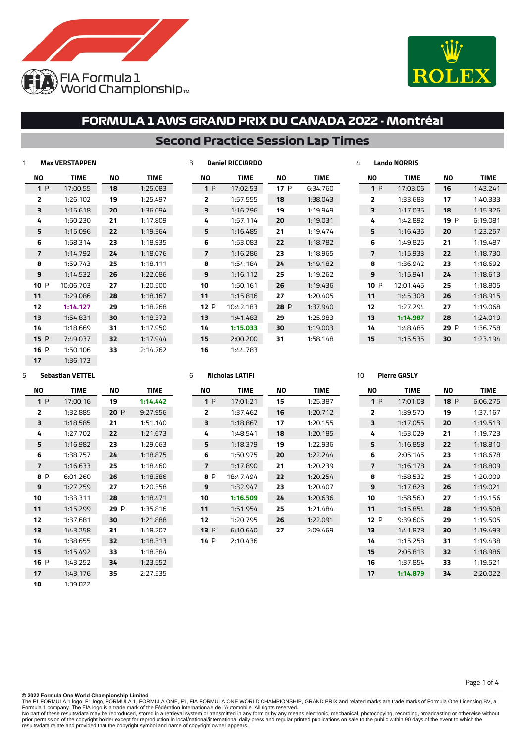



### **Second Practice Session Lap Times**

|                | <b>Max VERSTAPPEN</b> |    |             | 3 |                          | <b>Daniel RICCIARDO</b> |      |             | 4 |      | <b>Lando NORRIS</b> |      |             |
|----------------|-----------------------|----|-------------|---|--------------------------|-------------------------|------|-------------|---|------|---------------------|------|-------------|
| ΝO             | TIME                  | ΝO | <b>TIME</b> |   | ΝO                       | <b>TIME</b>             | ΝO   | <b>TIME</b> |   | ΝO   | <b>TIME</b>         | ΝO   | <b>TIME</b> |
| 1P             | 17:00:55              | 18 | 1:25.083    |   | 1P                       | 17:02:53                | 17P  | 6:34.760    |   | 1P   | 17:03:06            | 16   | 1:43.241    |
| $\overline{2}$ | 1:26.102              | 19 | 1:25.497    |   | $\overline{2}$           | 1:57.555                | 18   | 1:38.043    |   | 2    | 1:33.683            | 17   | 1:40.333    |
| 3              | 1:15.618              | 20 | 1:36.094    |   | 3                        | 1:16.796                | 19   | 1:19.949    |   | 3    | 1:17.035            | 18   | 1:15.326    |
| 4              | 1:50.230              | 21 | 1:17.809    |   | 4                        | 1:57.114                | 20   | 1:19.031    |   | 4    | 1:42.892            | 19 P | 6:19.081    |
| 5              | 1:15.096              | 22 | 1:19.364    |   | 5                        | 1:16.485                | 21   | 1:19.474    |   | 5    | 1:16.435            | 20   | 1:23.257    |
| 6              | 1:58.314              | 23 | 1:18.935    |   | 6                        | 1:53.083                | 22   | 1:18.782    |   | 6    | 1:49.825            | 21   | 1:19.487    |
| 7              | 1:14.792              | 24 | 1:18.076    |   | $\overline{\phantom{a}}$ | 1:16.286                | 23   | 1:18.965    |   | 7    | 1:15.933            | 22   | 1:18.730    |
| 8              | 1:59.743              | 25 | 1:18.111    |   | 8                        | 1:54.184                | 24   | 1:19.182    |   | 8    | 1:36.942            | 23   | 1:18.692    |
| 9              | 1:14.532              | 26 | 1:22.086    |   | 9                        | 1:16.112                | 25   | 1:19.262    |   | 9    | 1:15.941            | 24   | 1:18.613    |
| 10 P           | 10:06.703             | 27 | 1:20.500    |   | 10                       | 1:50.161                | 26   | 1:19.436    |   | 10 P | 12:01.445           | 25   | 1:18.805    |
| 11             | 1:29.086              | 28 | 1:18.167    |   | 11                       | 1:15.816                | 27   | 1:20.405    |   | 11   | 1:45.308            | 26   | 1:18.915    |
| 12             | 1:14.127              | 29 | 1:18.268    |   | 12P                      | 10:42.183               | 28 P | 1:37.940    |   | 12   | 1:27.294            | 27   | 1:19.068    |
| 13             | 1:54.831              | 30 | 1:18.373    |   | 13                       | 1:41.483                | 29   | 1:25.983    |   | 13   | 1:14.987            | 28   | 1:24.019    |
| 14             | 1:18.669              | 31 | 1:17.950    |   | 14                       | 1:15.033                | 30   | 1:19.003    |   | 14   | 1:48.485            | 29 P | 1:36.758    |
| 15P            | 7:49.037              | 32 | 1:17.944    |   | 15                       | 2:00.200                | 31   | 1:58.148    |   | 15   | 1:15.535            | 30   | 1:23.194    |
| 16 P           | 1:50.106              | 33 | 2:14.762    |   | 16                       | 1:44.783                |      |             |   |      |                     |      |             |

#### **Sebastian VETTEL**

1:36.173

| NΟ             | <b>TIME</b> | NΟ   | TIME     |
|----------------|-------------|------|----------|
| 1P             | 17:00:16    | 19   | 1:14.442 |
| $\overline{2}$ | 1:32.885    | 20P  | 9:27.956 |
| 3              | 1:18.585    | 21   | 1:51.140 |
| 4              | 1:27.702    | 22   | 1:21.673 |
| 5              | 1:16.982    | 23   | 1:29.063 |
| 6              | 1:38.757    | 24   | 1:18.875 |
| 7              | 1:16.633    | 25   | 1:18.460 |
| P<br>8         | 6:01.260    | 26   | 1:18.586 |
| 9              | 1:27.259    | 27   | 1:20.358 |
| 10             | 1:33.311    | 28   | 1:18.471 |
| 11             | 1:15.299    | 29 P | 1:35.816 |
| 12             | 1:37.681    | 30   | 1:21.888 |
| 13             | 1:43.258    | 31   | 1:18.207 |
| 14             | 1:38.655    | 32   | 1:18.313 |
| 15             | 1:15.492    | 33   | 1:18.384 |
| 16.<br>P       | 1:43.252    | 34   | 1:23.552 |
| 17             | 1:43.176    | 35   | 2:27.535 |
| 18             | 1:39.822    |      |          |

#### **Nicholas LATIFI**

| NΟ             | <b>TIME</b> | NΟ | <b>TIME</b> |
|----------------|-------------|----|-------------|
| 1P             | 17:01:21    | 15 | 1:25.387    |
| $\overline{2}$ | 1:37.462    | 16 | 1:20.712    |
| 3              | 1:18.867    | 17 | 1:20.155    |
| 4              | 1:48.541    | 18 | 1:20.185    |
| 5              | 1:18.379    | 19 | 1:22.936    |
| 6              | 1:50.975    | 20 | 1:22.244    |
| 7              | 1:17.890    | 21 | 1:20.239    |
| 8 P            | 18:47.494   | 22 | 1:20.254    |
| 9              | 1:32.947    | 23 | 1:20.407    |
| 10             | 1:16.509    | 24 | 1:20.636    |
| 11             | 1:51.954    | 25 | 1:21.484    |
| 12             | 1:20.795    | 26 | 1:22.091    |
| 13P            | 6:10.640    | 27 | 2:09.469    |
| 14.<br>P       | 2:10.436    |    |             |

#### **NO TIME** P 6:06.275 1:37.167 1:19.513 1:19.723 1:18.810 1:18.678 1:18.809 1:20.009 1:19.021 1:19.156 1:19.508 1:19.505 1:19.493 1:19.438 1:18.986 1:19.521 2:20.022 **NO TIME** P 17:01:08 1:39.570 1:17.055 1:53.029 1:16.858 2:05.145 1:16.178 1:58.532 1:17.828 1:58.560 1:15.854 P 9:39.606 1:41.878 1:15.258 2:05.813 1:37.854 **1:14.879**

Page 1 of 4

**Pierre GASLY**

#### **© 2022 Formula One World Championship Limited**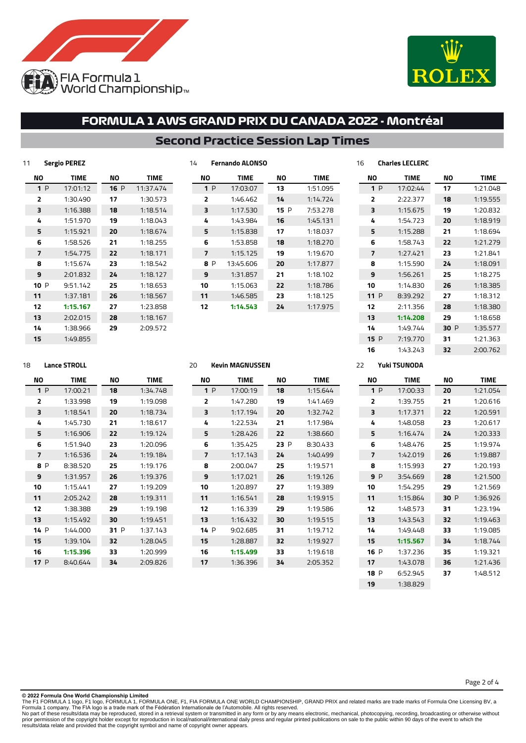



### **Second Practice Session Lap Times**

**Fernando ALONSO**

| 11 |     | Sergio PEREZ |     |             |
|----|-----|--------------|-----|-------------|
|    | ΝO  | <b>TIME</b>  | ΝO  | <b>TIME</b> |
|    | 1P  | 17:01:12     | 16P | 11:37.474   |
|    | 2   | 1:30.490     | 17  | 1:30.573    |
|    | 3   | 1:16.388     | 18  | 1:18.514    |
|    | 4   | 1:51.970     | 19  | 1:18.043    |
|    | 5   | 1:15.921     | 20  | 1:18.674    |
|    | 6   | 1:58.526     | 21  | 1:18.255    |
|    | 7   | 1:54.775     | 22  | 1:18.171    |
|    | 8   | 1:15.674     | 23  | 1:18.542    |
|    | 9   | 2:01.832     | 24  | 1:18.127    |
|    | 10P | 9:51.142     | 25  | 1:18.653    |
|    | 11  | 1:37.181     | 26  | 1:18.567    |
|    | 12  | 1:15.167     | 27  | 1:23.858    |
|    | 13  | 2:02.015     | 28  | 1:18.167    |
|    | 14  | 1:38.966     | 29  | 2:09.572    |
|    | 15  | 1:49.855     |     |             |

| NΟ             | <b>TIME</b> | NΟ  | TIME     |
|----------------|-------------|-----|----------|
| 1P             | 17:03:07    | 13  | 1:51.095 |
| $\overline{2}$ | 1:46.462    | 14  | 1:14.724 |
| 3              | 1:17.530    | 15P | 7:53.278 |
| 4              | 1:43.984    | 16  | 1:45.131 |
| 5              | 1:15.838    | 17  | 1:18.037 |
| 6              | 1:53.858    | 18  | 1:18.270 |
| 7              | 1:15.125    | 19  | 1:19.670 |
| 8 P            | 13:45.606   | 20  | 1:17.877 |
| 9              | 1:31.857    | 21  | 1:18.102 |
| 10             | 1:15.063    | 22  | 1:18.786 |
| 11             | 1:46.585    | 23  | 1:18.125 |
| 12             | 1:14.543    | 24  | 1:17.975 |
|                |             |     |          |

| 16 |      | <b>Charles LECLERC</b> |      |          |
|----|------|------------------------|------|----------|
|    | NΟ   | <b>TIME</b>            | NΟ   | TIME     |
|    | 1P   | 17:02:44               | 17   | 1:21.048 |
|    | 2    | 2:22.377               | 18   | 1:19.555 |
|    | 3    | 1:15.675               | 19   | 1:20.832 |
|    | 4    | 1:54.723               | 20   | 1:18.919 |
|    | 5    | 1:15.288               | 21   | 1:18.694 |
|    | 6    | 1:58.743               | 22   | 1:21.279 |
|    | 7    | 1:27.421               | 23   | 1:21.841 |
|    | 8    | 1:15.590               | 24   | 1:18.091 |
|    | 9    | 1:56.261               | 25   | 1:18.275 |
|    | 10   | 1:14.830               | 26   | 1:18.385 |
|    | 11P  | 8:39.292               | 27   | 1:18.312 |
|    | 12   | 2:11.356               | 28   | 1:18.380 |
|    | 13   | 1:14.208               | 29   | 1:18.658 |
|    | 14   | 1:49.744               | 30 P | 1:35.577 |
|    | 15 P | 7:19.770               | 31   | 1:21.363 |
|    | 16   | 1:43.743               | 32   | 2:00.762 |

### **Lance STROLL**

| NΟ      | <b>TIME</b> | NΟ      | <b>TIME</b> |
|---------|-------------|---------|-------------|
| 1P      | 17:00:21    | 18      | 1:34.748    |
| 2       | 1:33.998    | 19      | 1:19.098    |
| ₹       | 1:18.541    | 20      | 1:18.734    |
| 4       | 1:45.730    | 21      | 1:18.617    |
| 5       | 1:16.906    | 22      | 1:19.124    |
| 6       | 1:51.940    | 23      | 1:20.096    |
| 7       | 1:16.536    | 24      | 1:19.184    |
| P<br>8  | 8:38.520    | 25      | 1:19.176    |
| 9       | 1:31.957    | 26      | 1:19.376    |
| 10      | 1:15.441    | 27      | 1:19.209    |
| 11      | 2:05.242    | 28      | 1:19.311    |
| 12      | 1:38.388    | 29      | 1:19.198    |
| 13      | 1:15.492    | 30      | 1:19.451    |
| 14<br>P | 1:44.000    | P<br>31 | 1:37.143    |
| 15      | 1:39.104    | 32      | 1:28.045    |
| 16      | 1:15.396    | 33      | 1:20.999    |
| 17 P    | 8:40.644    | 34      | 2:09.826    |

#### **Kevin MAGNUSSEN**

| NΟ             | <b>TIME</b> | NΟ   | <b>TIME</b> |
|----------------|-------------|------|-------------|
| 1P             | 17:00:19    | 18   | 1:15.644    |
| $\overline{2}$ | 1:47.280    | 19   | 1:41.469    |
| 3              | 1:17.194    | 20   | 1:32.742    |
| 4              | 1:22.534    | 21   | 1:17.984    |
| 5              | 1:28.426    | 22   | 1:38.660    |
| 6              | 1:35.425    | 23 P | 8:30.433    |
| $\overline{7}$ | 1:17.143    | 24   | 1:40.499    |
| 8              | 2:00.047    | 25   | 1:19.571    |
| 9              | 1:17.021    | 26   | 1:19.126    |
| 10             | 1:20.897    | 27   | 1:19.389    |
| 11             | 1:16.541    | 28   | 1:19.915    |
| 12             | 1:16.339    | 29   | 1:19.586    |
| 13             | 1:16.432    | 30   | 1:19.515    |
| 14 P           | 9:02.685    | 31   | 1:19.712    |
| 15             | 1:28.887    | 32   | 1:19.927    |
| 16             | 1:15.499    | 33   | 1:19.618    |
| 17             | 1:36.396    | 34   | 2:05.352    |
|                |             |      |             |

#### **Yuki TSUNODA**

| NΟ          | <b>TIME</b> | NΟ   | <b>TIME</b> |
|-------------|-------------|------|-------------|
| 1P          | 17:00:33    | 20   | 1:21.054    |
| 2           | 1:39.755    | 21   | 1:20.616    |
| 3           | 1:17.371    | 22   | 1:20.591    |
| 4           | 1:48.058    | 23   | 1:20.617    |
| 5           | 1:16.474    | 24   | 1:20.333    |
| 6           | 1:48.476    | 25   | 1:19.974    |
| 7           | 1:42.019    | 26   | 1:19.887    |
| 8           | 1:15.993    | 27   | 1:20.193    |
| 9P          | 3:54.669    | 28   | 1:21.500    |
| 10          | 1:54.295    | 29   | 1:21.569    |
| 11          | 1:15.864    | 30 P | 1:36.926    |
| 12          | 1:48.573    | 31   | 1:23.194    |
| 13          | 1:43.543    | 32   | 1:19.463    |
| 14          | 1:49.448    | 33   | 1:19.085    |
| 15          | 1:15.567    | 34   | 1:18.744    |
| 16<br>P     | 1:37.236    | 35   | 1:19.321    |
| 17          | 1:43.078    | 36   | 1:21.436    |
| <b>18 P</b> | 6:52.945    | 37   | 1:48.512    |
| 19          | 1:38.829    |      |             |

**© 2022 Formula One World Championship Limited**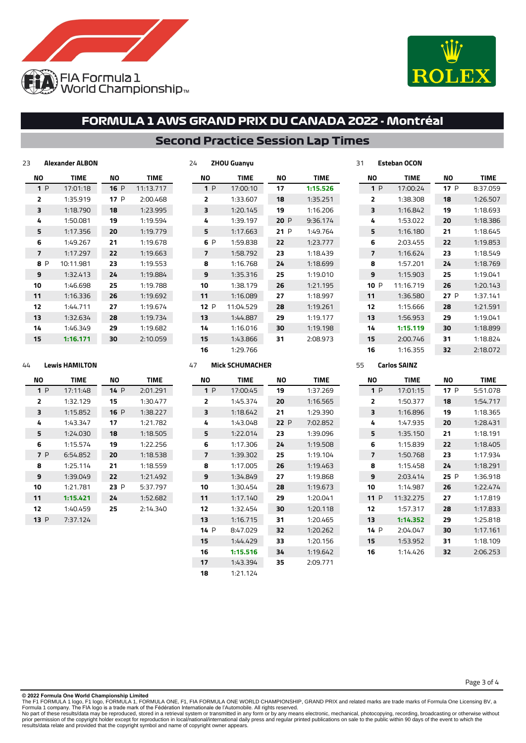



### **Second Practice Session Lap Times**

**ZHOU Guanyu**

| 23  | Alexander ALBON |      |           |
|-----|-----------------|------|-----------|
| NΟ  | TIME            | NΟ   | TIME      |
| 1P  | 17:01:18        | 16 P | 11:13.717 |
| 2   | 1:35.919        | 17P  | 2:00.468  |
| 3   | 1:18.790        | 18   | 1:23.995  |
| 4   | 1:50.081        | 19   | 1:19.594  |
| 5   | 1:17.356        | 20   | 1:19.779  |
| 6   | 1:49.267        | 21   | 1:19.678  |
| 7   | 1:17.297        | 22   | 1:19.663  |
| 8 P | 10:11.981       | 23   | 1:19.553  |
| 9   | 1:32.413        | 24   | 1:19.884  |
| 10  | 1:46.698        | 25   | 1:19.788  |
| 11  | 1:16.336        | 26   | 1:19.692  |
| 12  | 1:44.711        | 27   | 1:19.674  |
| 13  | 1:32.634        | 28   | 1:19.734  |
| 14  | 1:46.349        | 29   | 1:19.682  |
| 15  | 1:16.171        | 30   | 2:10.059  |
|     |                 |      |           |

| NΟ  | <b>TIME</b> | NΟ   | <b>TIME</b> |
|-----|-------------|------|-------------|
| 1P  | 17:00:10    | 17   | 1:15.526    |
| 2   | 1:33.607    | 18   | 1:35.251    |
| 3   | 1:20.145    | 19   | 1:16.206    |
| 4   | 1:39.197    | 20P  | 9:36.174    |
| 5   | 1:17.663    | 21 P | 1:49.764    |
| 6 P | 1:59.838    | 22   | 1:23.777    |
| 7   | 1:58.792    | 23   | 1:18.439    |
| 8   | 1:16.768    | 24   | 1:18.699    |
| 9   | 1:35.316    | 25   | 1:19.010    |
| 10  | 1:38.179    | 26   | 1:21.195    |
| 11  | 1:16.089    | 27   | 1:18.997    |
| 12P | 11:04.529   | 28   | 1:19.261    |
| 13  | 1:44.887    | 29   | 1:19.177    |
| 14  | 1:16.016    | 30   | 1:19.198    |
| 15  | 1:43.866    | 31   | 2:08.973    |
| 16  | 1:29.766    |      |             |

| NΟ     | <b>TIME</b> | ΝO   | <b>TIME</b> |
|--------|-------------|------|-------------|
| 1P     | 17:00:24    | 17P  | 8:37.059    |
| 2      | 1:38.308    | 18   | 1:26.507    |
| 3      | 1:16.842    | 19   | 1:18.693    |
| 4      | 1:53.022    | 20   | 1:18.386    |
| 5      | 1:16.180    | 21   | 1:18.645    |
| 6      | 2:03.455    | 22   | 1:19.853    |
| 7      | 1:16.624    | 23   | 1:18.549    |
| я      | 1:57.201    | 24   | 1:18.769    |
| q      | 1:15.903    | 25   | 1:19.041    |
| 10 $P$ | 11:16.719   | 26   | 1:20.143    |
| 11     | 1:36.580    | 27 P | 1:37.141    |
| 12     | 1:15.666    | 28   | 1:21.591    |
| 13     | 1:56.953    | 29   | 1:19.041    |
| 14     | 1:15.119    | 30   | 1:18.899    |
| 15     | 2:00.746    | 31   | 1:18.824    |
| 16     | 1:16.355    | 32   | 2:18.072    |

### **Lewis HAMILTON**

| NΟ             | <b>TIME</b> | NΟ   | TIME     |
|----------------|-------------|------|----------|
| 1P             | 17:11:48    | 14 P | 2:01.291 |
| $\overline{2}$ | 1:32.129    | 15   | 1:30.477 |
| 3              | 1:15.852    | 16 P | 1:38.227 |
| 4              | 1:43.347    | 17   | 1:21.782 |
| 5              | 1:24.030    | 18   | 1:18.505 |
| 6              | 1:15.574    | 19   | 1:22.256 |
| 7 P            | 6:54.852    | 20   | 1:18.538 |
| 8              | 1:25.114    | 21   | 1:18.559 |
| 9              | 1:39.049    | 22   | 1:21.492 |
| 10             | 1:21.781    | 23 P | 5:37.797 |
| 11             | 1:15.421    | 24   | 1:52.682 |
| 12             | 1:40.459    | 25   | 2:14.340 |
| 13 P           | 7:37.124    |      |          |
|                |             |      |          |

### **Mick SCHUMACHER**

| NΟ             | <b>TIME</b> | NΟ  | TIME     |
|----------------|-------------|-----|----------|
| 1P             | 17:00:45    | 19  | 1:37.269 |
| $\overline{2}$ | 1:45.374    | 20  | 1:16.565 |
| 3              | 1:18.642    | 21  | 1:29.390 |
| 4              | 1:43.048    | 22P | 7:02.852 |
| 5              | 1:22.014    | 23  | 1:39.096 |
| 6              | 1:17.306    | 24  | 1:19.508 |
| 7              | 1:39.302    | 25  | 1:19.104 |
| 8              | 1:17.005    | 26  | 1:19.463 |
| 9              | 1:34.849    | 27  | 1:19.868 |
| 10             | 1:30.454    | 28  | 1:19.673 |
| 11             | 1:17.140    | 29  | 1:20.041 |
| 12             | 1:32.454    | 30  | 1:20.118 |
| 13             | 1:16.715    | 31  | 1:20.465 |
| 14P            | 8:47.029    | 32  | 1:20.262 |
| 15             | 1:44.429    | 33  | 1:20.156 |
| 16             | 1:15.516    | 34  | 1:19.642 |
| 17             | 1:43.394    | 35  | 2:09.771 |
| 18             | 1:21.124    |     |          |

#### **Carlos SAINZ**

**Esteban OCON**

| NΟ             | <b>TIME</b> | NΟ   | <b>TIME</b> |
|----------------|-------------|------|-------------|
| 1P             | 17:01:15    | 17P  | 5:51.078    |
| $\overline{2}$ | 1:50.377    | 18   | 1:54.717    |
| з              | 1:16.896    | 19   | 1:18.365    |
| 4              | 1:47.935    | 20   | 1:28.431    |
| 5              | 1:35.150    | 21   | 1:18.191    |
| 6              | 1:15.839    | 22   | 1:18.405    |
| 7              | 1:50.768    | 23   | 1:17.934    |
| 8              | 1:15.458    | 24   | 1:18.291    |
| 9              | 2:03.414    | 25 P | 1:36.918    |
| 10             | 1:14.987    | 26   | 1:22.474    |
| 11 P           | 11:32.275   | 27   | 1:17.819    |
| 12             | 1:57.317    | 28   | 1:17.833    |
| 13             | 1:14.352    | 29   | 1:25.818    |
| 14P            | 2:04.047    | 30   | 1:17.161    |
| 15             | 1:53.952    | 31   | 1:18.109    |
| 16             | 1:14.426    | 32   | 2:06.253    |

Page 3 of 4

#### **© 2022 Formula One World Championship Limited**